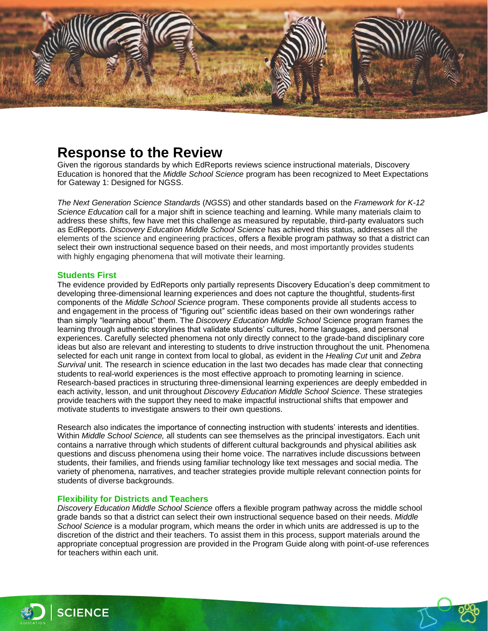

# **Response to the Review**

Given the rigorous standards by which EdReports reviews science instructional materials, Discovery Education is honored that the *Middle School Science* program has been recognized to Meet Expectations for Gateway 1: Designed for NGSS.

*The Next Generation Science Standards* (*NGSS*) and other standards based on the *Framework for K-12 Science Education* call for a major shift in science teaching and learning. While many materials claim to address these shifts, few have met this challenge as measured by reputable, third-party evaluators such as EdReports. *Discovery Education Middle School Science* has achieved this status, addresses all the elements of the science and engineering practices, offers a flexible program pathway so that a district can select their own instructional sequence based on their needs, and most importantly provides students with highly engaging phenomena that will motivate their learning.

## **Students First**

The evidence provided by EdReports only partially represents Discovery Education's deep commitment to developing three-dimensional learning experiences and does not capture the thoughtful, students-first components of the *Middle School Science* program. These components provide all students access to and engagement in the process of "figuring out" scientific ideas based on their own wonderings rather than simply "learning about" them. The *Discovery Education Middle School* Science program frames the learning through authentic storylines that validate students' cultures, home languages, and personal experiences. Carefully selected phenomena not only directly connect to the grade-band disciplinary core ideas but also are relevant and interesting to students to drive instruction throughout the unit. Phenomena selected for each unit range in context from local to global, as evident in the *Healing Cut* unit and *Zebra Survival* unit. The research in science education in the last two decades has made clear that connecting students to real-world experiences is the most effective approach to promoting learning in science. Research-based practices in structuring three-dimensional learning experiences are deeply embedded in each activity, lesson, and unit throughout *Discovery Education Middle School Science*. These strategies provide teachers with the support they need to make impactful instructional shifts that empower and motivate students to investigate answers to their own questions.

Research also indicates the importance of connecting instruction with students' interests and identities. Within *Middle School Science,* all students can see themselves as the principal investigators. Each unit contains a narrative through which students of different cultural backgrounds and physical abilities ask questions and discuss phenomena using their home voice. The narratives include discussions between students, their families, and friends using familiar technology like text messages and social media. The variety of phenomena, narratives, and teacher strategies provide multiple relevant connection points for students of diverse backgrounds.

### **Flexibility for Districts and Teachers**

*Discovery Education Middle School Science* offers a flexible program pathway across the middle school grade bands so that a district can select their own instructional sequence based on their needs. *Middle School Science* is a modular program, which means the order in which units are addressed is up to the discretion of the district and their teachers. To assist them in this process, support materials around the appropriate conceptual progression are provided in the Program Guide along with point-of-use references for teachers within each unit.



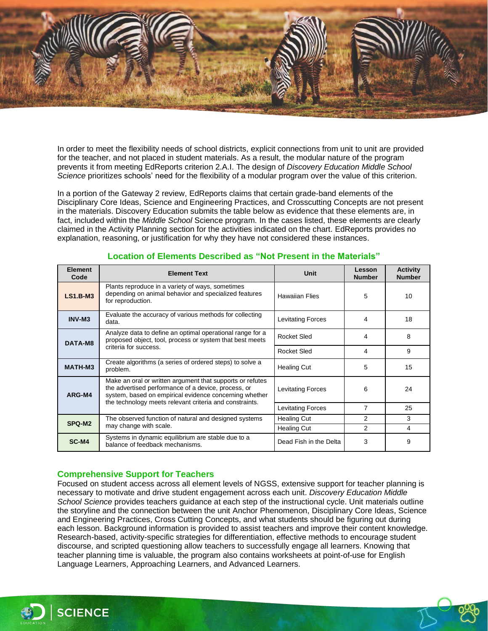

In order to meet the flexibility needs of school districts, explicit connections from unit to unit are provided for the teacher, and not placed in student materials. As a result, the modular nature of the program prevents it from meeting EdReports criterion 2.A.I. The design of *Discovery Education Middle School Science* prioritizes schools' need for the flexibility of a modular program over the value of this criterion.

In a portion of the Gateway 2 review, EdReports claims that certain grade-band elements of the Disciplinary Core Ideas, Science and Engineering Practices, and Crosscutting Concepts are not present in the materials. Discovery Education submits the table below as evidence that these elements are, in fact, included within the *Middle School* Science program. In the cases listed, these elements are clearly claimed in the Activity Planning section for the activities indicated on the chart. EdReports provides no explanation, reasoning, or justification for why they have not considered these instances.

| <b>Element</b><br>Code | <b>Element Text</b>                                                                                                                                                                                                                   | Unit                     | Lesson<br><b>Number</b> | <b>Activity</b><br><b>Number</b> |
|------------------------|---------------------------------------------------------------------------------------------------------------------------------------------------------------------------------------------------------------------------------------|--------------------------|-------------------------|----------------------------------|
| <b>LS1.B-M3</b>        | Plants reproduce in a variety of ways, sometimes<br>depending on animal behavior and specialized features<br>for reproduction.                                                                                                        | <b>Hawaiian Flies</b>    | 5                       | 10                               |
| INV-M3                 | Evaluate the accuracy of various methods for collecting<br>data.                                                                                                                                                                      | Levitating Forces        | 4                       | 18                               |
| DATA-M8                | Analyze data to define an optimal operational range for a<br>proposed object, tool, process or system that best meets<br>criteria for success.                                                                                        | Rocket Sled              | 4                       | 8                                |
|                        |                                                                                                                                                                                                                                       | Rocket Sled              | 4                       | 9                                |
| MATH-M3                | Create algorithms (a series of ordered steps) to solve a<br>problem.                                                                                                                                                                  | <b>Healing Cut</b>       | 5                       | 15                               |
| ARG-M4                 | Make an oral or written argument that supports or refutes<br>the advertised performance of a device, process, or<br>system, based on empirical evidence concerning whether<br>the technology meets relevant criteria and constraints. | <b>Levitating Forces</b> | 6                       | 24                               |
|                        |                                                                                                                                                                                                                                       | Levitating Forces        | 7                       | 25                               |
| SPQ-M2                 | The observed function of natural and designed systems<br>may change with scale.                                                                                                                                                       | <b>Healing Cut</b>       | 2                       | 3                                |
|                        |                                                                                                                                                                                                                                       | <b>Healing Cut</b>       | 2                       | 4                                |
| SC-M4                  | Systems in dynamic equilibrium are stable due to a<br>balance of feedback mechanisms.                                                                                                                                                 | Dead Fish in the Delta   | 3                       | 9                                |

# **Location of Elements Described as "Not Present in the Materials"**

# **Comprehensive Support for Teachers**

Focused on student access across all element levels of NGSS, extensive support for teacher planning is necessary to motivate and drive student engagement across each unit. *Discovery Education Middle School Science* provides teachers guidance at each step of the instructional cycle. Unit materials outline the storyline and the connection between the unit Anchor Phenomenon, Disciplinary Core Ideas, Science and Engineering Practices, Cross Cutting Concepts, and what students should be figuring out during each lesson. Background information is provided to assist teachers and improve their content knowledge. Research-based, activity-specific strategies for differentiation, effective methods to encourage student discourse, and scripted questioning allow teachers to successfully engage all learners. Knowing that teacher planning time is valuable, the program also contains worksheets at point-of-use for English Language Learners, Approaching Learners, and Advanced Learners.